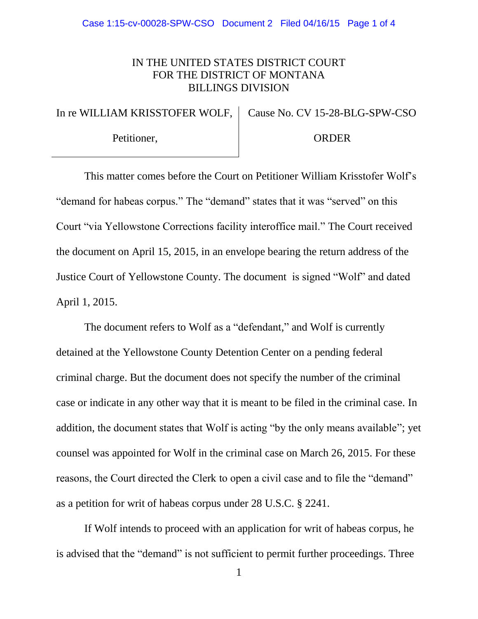## IN THE UNITED STATES DISTRICT COURT FOR THE DISTRICT OF MONTANA BILLINGS DIVISION

In re WILLIAM KRISSTOFER WOLF, Cause No. CV 15-28-BLG-SPW-CSO

Petitioner,

ORDER

This matter comes before the Court on Petitioner William Krisstofer Wolf's "demand for habeas corpus." The "demand" states that it was "served" on this Court "via Yellowstone Corrections facility interoffice mail." The Court received the document on April 15, 2015, in an envelope bearing the return address of the Justice Court of Yellowstone County. The document is signed "Wolf" and dated April 1, 2015.

The document refers to Wolf as a "defendant," and Wolf is currently detained at the Yellowstone County Detention Center on a pending federal criminal charge. But the document does not specify the number of the criminal case or indicate in any other way that it is meant to be filed in the criminal case. In addition, the document states that Wolf is acting "by the only means available"; yet counsel was appointed for Wolf in the criminal case on March 26, 2015. For these reasons, the Court directed the Clerk to open a civil case and to file the "demand" as a petition for writ of habeas corpus under 28 U.S.C. § 2241.

If Wolf intends to proceed with an application for writ of habeas corpus, he is advised that the "demand" is not sufficient to permit further proceedings. Three

1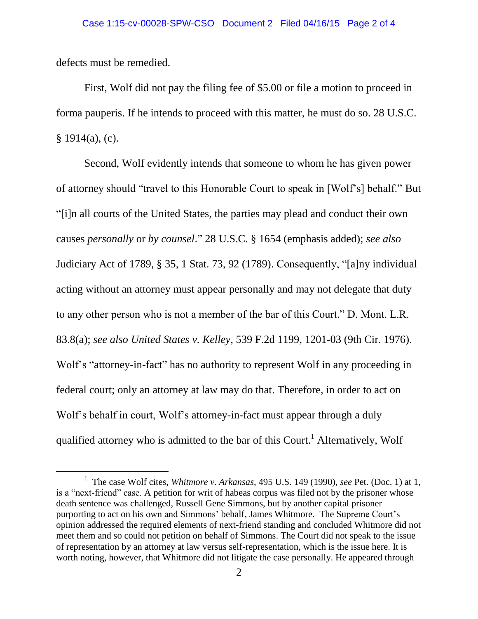defects must be remedied.

l

First, Wolf did not pay the filing fee of \$5.00 or file a motion to proceed in forma pauperis. If he intends to proceed with this matter, he must do so. 28 U.S.C.  $§ 1914(a), (c).$ 

Second, Wolf evidently intends that someone to whom he has given power of attorney should "travel to this Honorable Court to speak in [Wolf's] behalf." But "[i]n all courts of the United States, the parties may plead and conduct their own causes *personally* or *by counsel*." 28 U.S.C. § 1654 (emphasis added); *see also* Judiciary Act of 1789, § 35, 1 Stat. 73, 92 (1789). Consequently, "[a]ny individual acting without an attorney must appear personally and may not delegate that duty to any other person who is not a member of the bar of this Court." D. Mont. L.R. 83.8(a); *see also United States v. Kelley*, 539 F.2d 1199, 1201-03 (9th Cir. 1976). Wolf's "attorney-in-fact" has no authority to represent Wolf in any proceeding in federal court; only an attorney at law may do that. Therefore, in order to act on Wolf's behalf in court, Wolf's attorney-in-fact must appear through a duly qualified attorney who is admitted to the bar of this Court.<sup>1</sup> Alternatively, Wolf

<sup>&</sup>lt;sup>1</sup> The case Wolf cites, *Whitmore v. Arkansas*, 495 U.S. 149 (1990), *see* Pet. (Doc. 1) at 1, is a "next-friend" case. A petition for writ of habeas corpus was filed not by the prisoner whose death sentence was challenged, Russell Gene Simmons, but by another capital prisoner purporting to act on his own and Simmons' behalf, James Whitmore. The Supreme Court's opinion addressed the required elements of next-friend standing and concluded Whitmore did not meet them and so could not petition on behalf of Simmons. The Court did not speak to the issue of representation by an attorney at law versus self-representation, which is the issue here. It is worth noting, however, that Whitmore did not litigate the case personally. He appeared through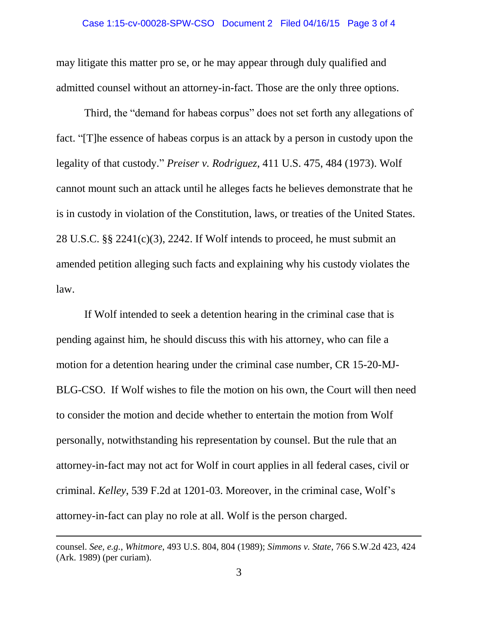may litigate this matter pro se, or he may appear through duly qualified and admitted counsel without an attorney-in-fact. Those are the only three options.

Third, the "demand for habeas corpus" does not set forth any allegations of fact. "[T]he essence of habeas corpus is an attack by a person in custody upon the legality of that custody." *Preiser v. Rodriguez*, 411 U.S. 475, 484 (1973). Wolf cannot mount such an attack until he alleges facts he believes demonstrate that he is in custody in violation of the Constitution, laws, or treaties of the United States. 28 U.S.C. §§ 2241(c)(3), 2242. If Wolf intends to proceed, he must submit an amended petition alleging such facts and explaining why his custody violates the law.

If Wolf intended to seek a detention hearing in the criminal case that is pending against him, he should discuss this with his attorney, who can file a motion for a detention hearing under the criminal case number, CR 15-20-MJ-BLG-CSO. If Wolf wishes to file the motion on his own, the Court will then need to consider the motion and decide whether to entertain the motion from Wolf personally, notwithstanding his representation by counsel. But the rule that an attorney-in-fact may not act for Wolf in court applies in all federal cases, civil or criminal. *Kelley*, 539 F.2d at 1201-03. Moreover, in the criminal case, Wolf's attorney-in-fact can play no role at all. Wolf is the person charged.

l

counsel. *See, e.g.*, *Whitmore*, 493 U.S. 804, 804 (1989); *Simmons v. State*, 766 S.W.2d 423, 424 (Ark. 1989) (per curiam).